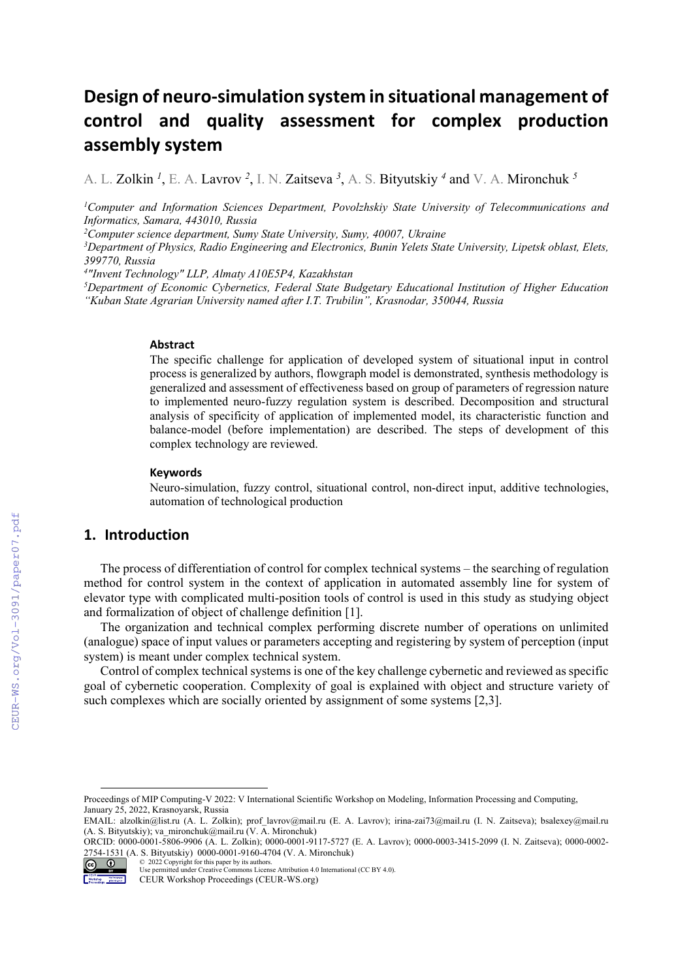# **Design of neuro‐simulation system in situational management of control and quality assessment for complex production assembly system**

A. L. Zolkin *<sup>1</sup>* , E. A. Lavrov *<sup>2</sup>*, I. N. Zaitseva *<sup>3</sup>*, A. S. Bityutskiy *<sup>4</sup>* and V. A. Mironchuk *<sup>5</sup>*

*1 Computer and Information Sciences Department, Povolzhskiy State University of Telecommunications and Informatics, Samara, 443010, Russia* 

*2 Computer science department, Sumy State University, Sumy, 40007, Ukraine*

*3 Department of Physics, Radio Engineering and Electronics, Bunin Yelets State University, Lipetsk oblast, Elets, 399770, Russia* 

*4 "Invent Technology" LLP, Almaty A10E5P4, Kazakhstan* 

*5 Department of Economic Cybernetics, Federal State Budgetary Educational Institution of Higher Education "Kuban State Agrarian University named after I.T. Trubilin", Krasnodar, 350044, Russia* 

#### **Abstract**

The specific challenge for application of developed system of situational input in control process is generalized by authors, flowgraph model is demonstrated, synthesis methodology is generalized and assessment of effectiveness based on group of parameters of regression nature to implemented neuro-fuzzy regulation system is described. Decomposition and structural analysis of specificity of application of implemented model, its characteristic function and balance-model (before implementation) are described. The steps of development of this complex technology are reviewed.

#### **Keywords 1**

Neuro-simulation, fuzzy control, situational control, non-direct input, additive technologies, automation of technological production

## **1. Introduction**

The process of differentiation of control for complex technical systems – the searching of regulation method for control system in the context of application in automated assembly line for system of elevator type with complicated multi-position tools of control is used in this study as studying object and formalization of object of challenge definition [1].

The organization and technical complex performing discrete number of operations on unlimited (analogue) space of input values or parameters accepting and registering by system of perception (input system) is meant under complex technical system.

Control of complex technical systems is one of the key challenge cybernetic and reviewed as specific goal of cybernetic cooperation. Complexity of goal is explained with object and structure variety of such complexes which are socially oriented by assignment of some systems [2,3].

ORCID: 0000-0001-5806-9906 (A. L. Zolkin); 0000-0001-9117-5727 (E. A. Lavrov); 0000-0003-3415-2099 (I. N. Zaitseva); 0000-0002- 2754-1531 (A. S. Bityutskiy) 0000-0001-9160-4704 (V. A. Mironchuk)



<sup>© 2022</sup> Copyright for this paper by its authors. Use permitted under Creative Commons License Attribution 4.0 International (CC BY 4.0).

Proceedings of MIP Computing-V 2022: V International Scientific Workshop on Modeling, Information Processing and Computing, January 25, 2022, Krasnoyarsk, Russia

EMAIL: alzolkin@list.ru (A. L. Zolkin); prof\_lavrov@mail.ru (E. A. Lavrov); irina-zai73@mail.ru (I. N. Zaitseva); bsalexey@mail.ru (A. S. Bityutskiy); va\_mironchuk@mail.ru (V. A. Mironchuk)

CEUR Workshop Proceedings (CEUR-WS.org)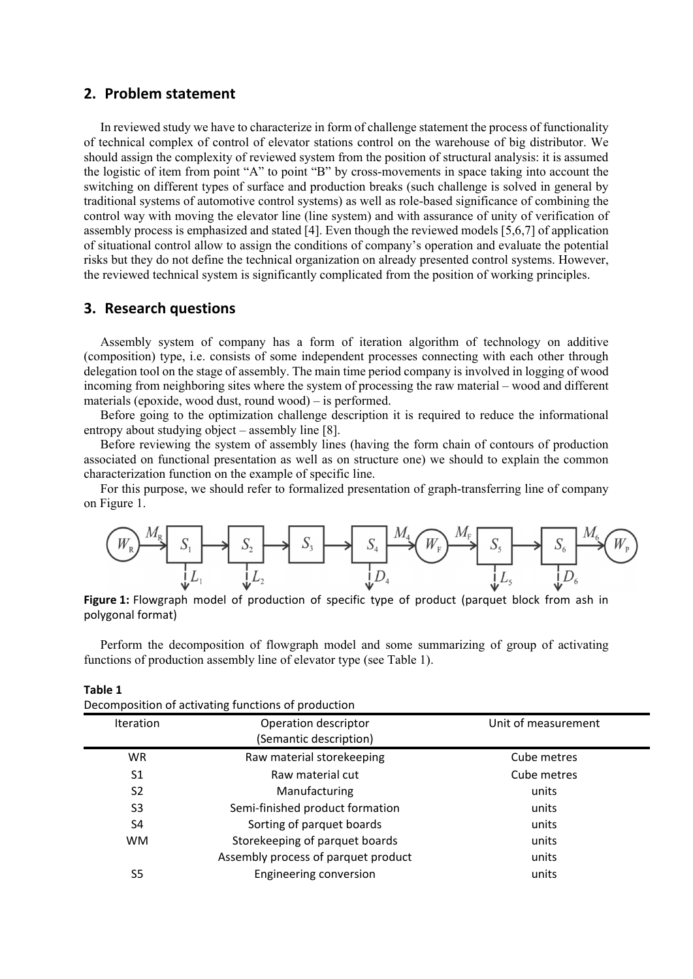## **2. Problem statement**

In reviewed study we have to characterize in form of challenge statement the process of functionality of technical complex of control of elevator stations control on the warehouse of big distributor. We should assign the complexity of reviewed system from the position of structural analysis: it is assumed the logistic of item from point "A" to point "B" by cross-movements in space taking into account the switching on different types of surface and production breaks (such challenge is solved in general by traditional systems of automotive control systems) as well as role-based significance of combining the control way with moving the elevator line (line system) and with assurance of unity of verification of assembly process is emphasized and stated [4]. Even though the reviewed models [5,6,7] of application of situational control allow to assign the conditions of company's operation and evaluate the potential risks but they do not define the technical organization on already presented control systems. However, the reviewed technical system is significantly complicated from the position of working principles.

## **3. Research questions**

**Table 1**

Assembly system of company has a form of iteration algorithm of technology on additive (composition) type, i.e. consists of some independent processes connecting with each other through delegation tool on the stage of assembly. The main time period company is involved in logging of wood incoming from neighboring sites where the system of processing the raw material – wood and different materials (epoxide, wood dust, round wood) – is performed.

Before going to the optimization challenge description it is required to reduce the informational entropy about studying object – assembly line [8].

Before reviewing the system of assembly lines (having the form chain of contours of production associated on functional presentation as well as on structure one) we should to explain the common characterization function on the example of specific line.

For this purpose, we should refer to formalized presentation of graph-transferring line of company on Figure 1.



**Figure 1:** Flowgraph model of production of specific type of product (parquet block from ash in polygonal format)

Perform the decomposition of flowgraph model and some summarizing of group of activating functions of production assembly line of elevator type (see Table 1).

|                | Decomposition of activating functions of production |                     |  |
|----------------|-----------------------------------------------------|---------------------|--|
| Iteration      | Operation descriptor                                | Unit of measurement |  |
|                | (Semantic description)                              |                     |  |
| WR.            | Raw material storekeeping                           | Cube metres         |  |
| S1             | Raw material cut                                    | Cube metres         |  |
| S <sub>2</sub> | Manufacturing                                       | units               |  |
| S <sub>3</sub> | Semi-finished product formation                     | units               |  |
| S4             | Sorting of parquet boards                           | units               |  |
| <b>WM</b>      | Storekeeping of parquet boards                      | units               |  |
|                | Assembly process of parquet product                 | units               |  |
| S <sub>5</sub> | <b>Engineering conversion</b>                       | units               |  |
|                |                                                     |                     |  |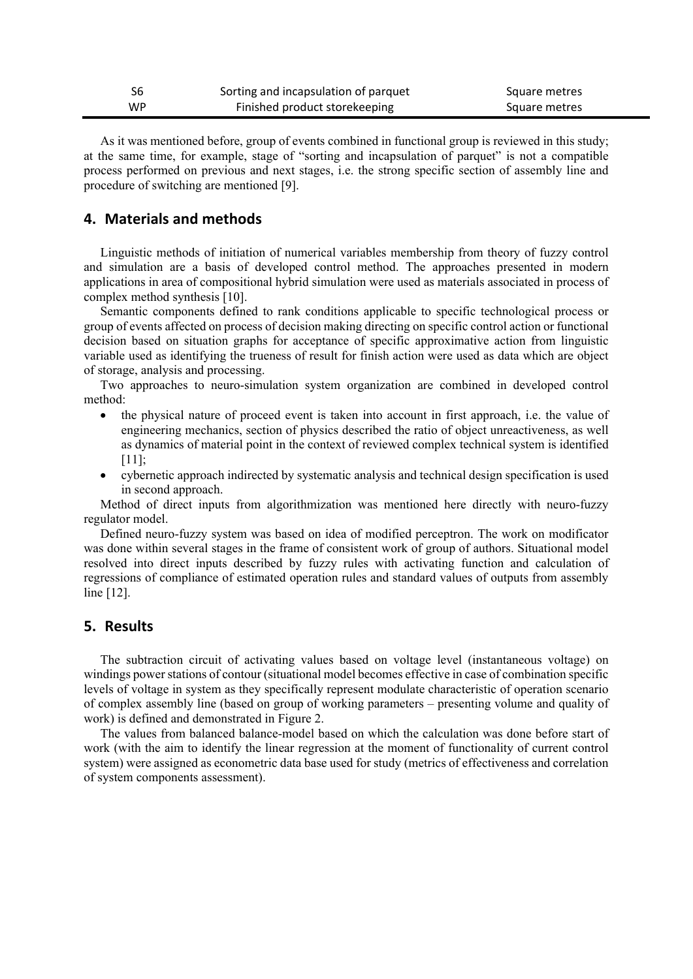| S6 | Sorting and incapsulation of parquet | Square metres |
|----|--------------------------------------|---------------|
| WP | Finished product storekeeping        | Square metres |

As it was mentioned before, group of events combined in functional group is reviewed in this study; at the same time, for example, stage of "sorting and incapsulation of parquet" is not a compatible process performed on previous and next stages, i.e. the strong specific section of assembly line and procedure of switching are mentioned [9].

## **4. Materials and methods**

Linguistic methods of initiation of numerical variables membership from theory of fuzzy control and simulation are a basis of developed control method. The approaches presented in modern applications in area of compositional hybrid simulation were used as materials associated in process of complex method synthesis [10].

Semantic components defined to rank conditions applicable to specific technological process or group of events affected on process of decision making directing on specific control action or functional decision based on situation graphs for acceptance of specific approximative action from linguistic variable used as identifying the trueness of result for finish action were used as data which are object of storage, analysis and processing.

Two approaches to neuro-simulation system organization are combined in developed control method:

- the physical nature of proceed event is taken into account in first approach, i.e. the value of engineering mechanics, section of physics described the ratio of object unreactiveness, as well as dynamics of material point in the context of reviewed complex technical system is identified [11];
- cybernetic approach indirected by systematic analysis and technical design specification is used in second approach.

Method of direct inputs from algorithmization was mentioned here directly with neuro-fuzzy regulator model.

Defined neuro-fuzzy system was based on idea of modified perceptron. The work on modificator was done within several stages in the frame of consistent work of group of authors. Situational model resolved into direct inputs described by fuzzy rules with activating function and calculation of regressions of compliance of estimated operation rules and standard values of outputs from assembly line [12].

#### **5. Results**

The subtraction circuit of activating values based on voltage level (instantaneous voltage) on windings power stations of contour (situational model becomes effective in case of combination specific levels of voltage in system as they specifically represent modulate characteristic of operation scenario of complex assembly line (based on group of working parameters – presenting volume and quality of work) is defined and demonstrated in Figure 2.

The values from balanced balance-model based on which the calculation was done before start of work (with the aim to identify the linear regression at the moment of functionality of current control system) were assigned as econometric data base used for study (metrics of effectiveness and correlation of system components assessment).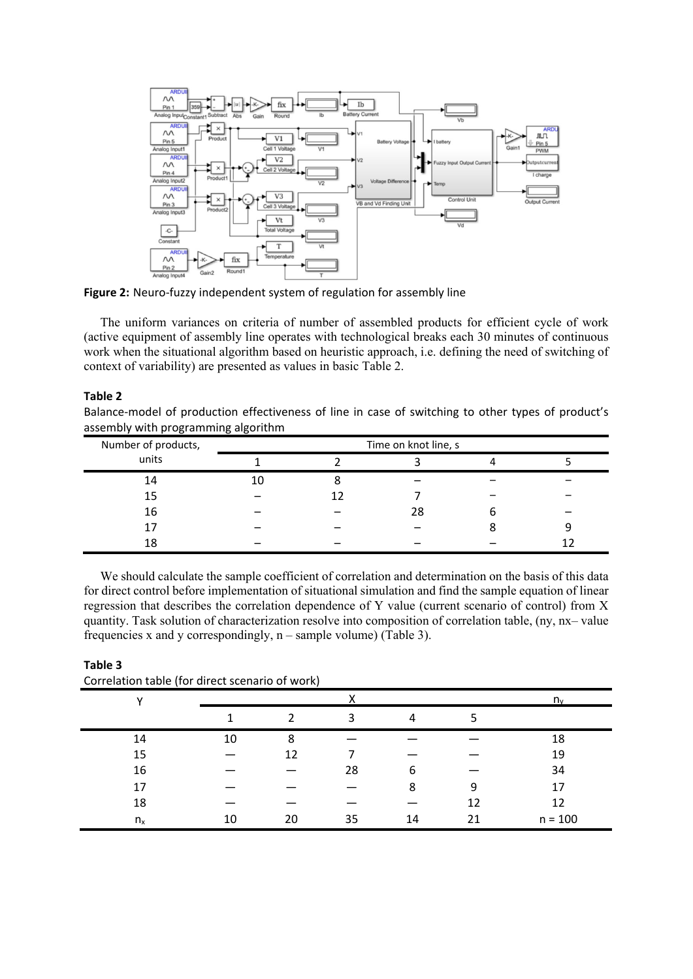

**Figure 2:** Neuro‐fuzzy independent system of regulation for assembly line

The uniform variances on criteria of number of assembled products for efficient cycle of work (active equipment of assembly line operates with technological breaks each 30 minutes of continuous work when the situational algorithm based on heuristic approach, i.e. defining the need of switching of context of variability) are presented as values in basic Table 2.

#### **Table 2**

Balance-model of production effectiveness of line in case of switching to other types of product's assembly with programming algorithm

| Number of products, | Time on knot line, s |  |    |  |  |
|---------------------|----------------------|--|----|--|--|
| units               |                      |  |    |  |  |
| 14                  | 10                   |  |    |  |  |
| 15                  |                      |  |    |  |  |
| 16                  |                      |  | 28 |  |  |
|                     |                      |  |    |  |  |
| 18                  |                      |  |    |  |  |

We should calculate the sample coefficient of correlation and determination on the basis of this data for direct control before implementation of situational simulation and find the sample equation of linear regression that describes the correlation dependence of Y value (current scenario of control) from X quantity. Task solution of characterization resolve into composition of correlation table, (ny, nx– value frequencies x and y correspondingly,  $n$  – sample volume) (Table 3).

| Correlation table (for direct scenario of work) |    |       |    |    |    |           |  |
|-------------------------------------------------|----|-------|----|----|----|-----------|--|
| v                                               |    | $n_v$ |    |    |    |           |  |
|                                                 |    |       | 3  | 4  |    |           |  |
| 14                                              | 10 | 8     |    |    |    | 18        |  |
| 15                                              |    | 12    |    |    |    | 19        |  |
| 16                                              |    |       | 28 | 6  |    | 34        |  |
| 17                                              |    |       |    | 8  | q  | 17        |  |
| 18                                              |    |       |    |    | 12 | 12        |  |
| $n_{x}$                                         | 10 | 20    | 35 | 14 |    | $n = 100$ |  |

**Table 3**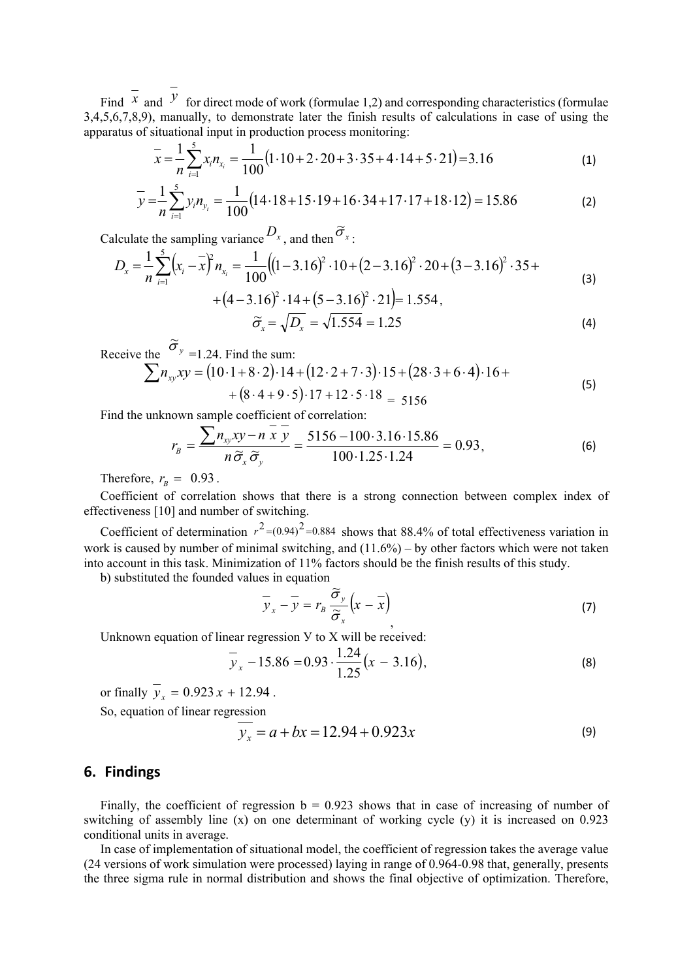Find  $\overline{x}$  and  $\overline{y}$  for direct mode of work (formulae 1,2) and corresponding characteristics (formulae 3,4,5,6,7,8,9), manually, to demonstrate later the finish results of calculations in case of using the apparatus of situational input in production process monitoring:

$$
\bar{x} = \frac{1}{n} \sum_{i=1}^{5} x_i n_{x_i} = \frac{1}{100} (1 \cdot 10 + 2 \cdot 20 + 3 \cdot 35 + 4 \cdot 14 + 5 \cdot 21) = 3.16
$$
 (1)

$$
\overline{y} = \frac{1}{n} \sum_{i=1}^{5} y_i n_{y_i} = \frac{1}{100} (14.18 + 15.19 + 16.34 + 17.17 + 18.12) = 15.86
$$
 (2)

Calculate the sampling variance  $D_x$ , and then  $\tilde{\sigma}_x$ :

$$
D_x = \frac{1}{n} \sum_{i=1}^{5} \left( x_i - \overline{x} \right)^2 n_{x_i} = \frac{1}{100} \left( \left( 1 - 3.16 \right)^2 \cdot 10 + \left( 2 - 3.16 \right)^2 \cdot 20 + \left( 3 - 3.16 \right)^2 \cdot 35 + \left( 4 - 3.16 \right)^2 \cdot 14 + \left( 5 - 3.16 \right)^2 \cdot 21 \right) = 1.554,
$$
\n(3)

$$
\widetilde{\sigma}_x = \sqrt{D_x} = \sqrt{1.554} = 1.25\tag{4}
$$

Receive the  $\tilde{\sigma}_y$  =1.24. Find the sum:

$$
\sum n_{xy}xy = (10 \cdot 1 + 8 \cdot 2) \cdot 14 + (12 \cdot 2 + 7 \cdot 3) \cdot 15 + (28 \cdot 3 + 6 \cdot 4) \cdot 16 +
$$
  
+ (8 \cdot 4 + 9 \cdot 5) \cdot 17 + 12 \cdot 5 \cdot 18 = 5156 (5)

Find the unknown sample coefficient of correlation:

$$
r_B = \frac{\sum n_{xy}xy - n\overline{x}\overline{y}}{n\widetilde{\sigma}_x\widetilde{\sigma}_y} = \frac{5156 - 100 \cdot 3.16 \cdot 15.86}{100 \cdot 1.25 \cdot 1.24} = 0.93,
$$
 (6)

Therefore,  $r_B = 0.93$ .

Coefficient of correlation shows that there is a strong connection between complex index of effectiveness [10] and number of switching.

Coefficient of determination  $r^2 = (0.94)^2 = 0.884$  shows that 88.4% of total effectiveness variation in work is caused by number of minimal switching, and (11.6%) – by other factors which were not taken into account in this task. Minimization of 11% factors should be the finish results of this study.

b) substituted the founded values in equation

$$
\overline{y}_x - \overline{y} = r_B \frac{\widetilde{\sigma}_y}{\widetilde{\sigma}_x} \left( x - \overline{x} \right)
$$
 (7)

Unknown equation of linear regression У to X will be received:

$$
\overline{y}_x - 15.86 = 0.93 \cdot \frac{1.24}{1.25} (x - 3.16),
$$
 (8)

or finally  $y_x = 0.923 x + 12.94$ .

So, equation of linear regression

$$
y_x = a + bx = 12.94 + 0.923x\tag{9}
$$

## **6. Findings**

Finally, the coefficient of regression  $b = 0.923$  shows that in case of increasing of number of switching of assembly line (x) on one determinant of working cycle (y) it is increased on 0.923 conditional units in average.

In case of implementation of situational model, the coefficient of regression takes the average value (24 versions of work simulation were processed) laying in range of 0.964-0.98 that, generally, presents the three sigma rule in normal distribution and shows the final objective of optimization. Therefore,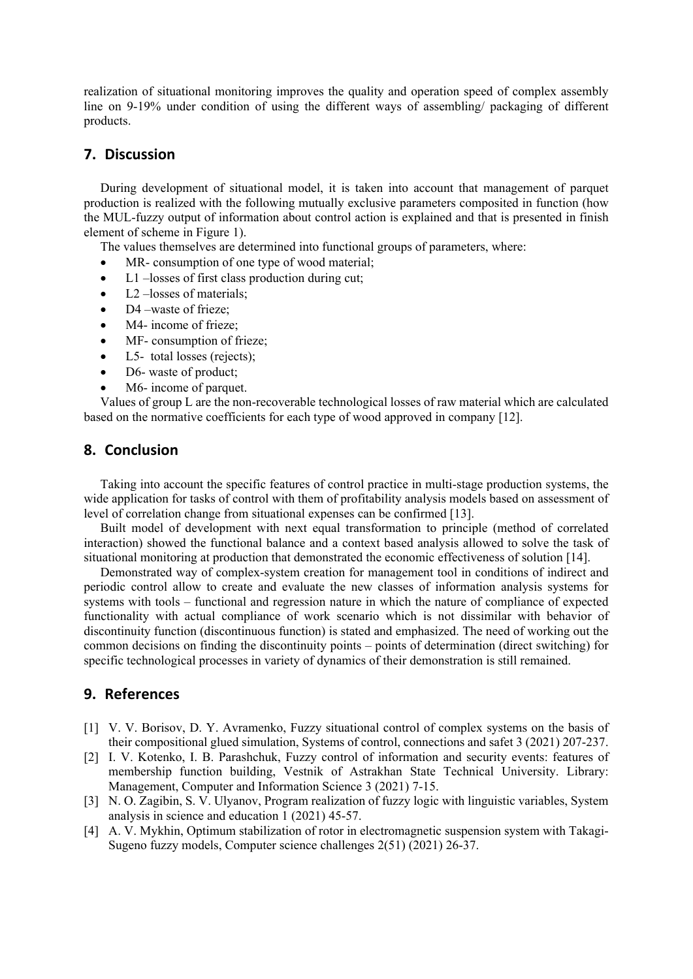realization of situational monitoring improves the quality and operation speed of complex assembly line on 9-19% under condition of using the different ways of assembling/ packaging of different products.

## **7. Discussion**

During development of situational model, it is taken into account that management of parquet production is realized with the following mutually exclusive parameters composited in function (how the MUL-fuzzy output of information about control action is explained and that is presented in finish element of scheme in Figure 1).

The values themselves are determined into functional groups of parameters, where:

- MR- consumption of one type of wood material;
- L1 –losses of first class production during cut;
- L2 –losses of materials;
- D4 –waste of frieze;
- M4- income of frieze;
- MF- consumption of frieze:
- L5- total losses (rejects);
- D6- waste of product;
- M6- income of parquet.

Values of group L are the non-recoverable technological losses of raw material which are calculated based on the normative coefficients for each type of wood approved in company [12].

## **8. Conclusion**

Taking into account the specific features of control practice in multi-stage production systems, the wide application for tasks of control with them of profitability analysis models based on assessment of level of correlation change from situational expenses can be confirmed [13].

Built model of development with next equal transformation to principle (method of correlated interaction) showed the functional balance and а context based analysis allowed to solve the task of situational monitoring at production that demonstrated the economic effectiveness of solution [14].

Demonstrated way of complex-system creation for management tool in conditions of indirect and periodic control allow to create and evaluate the new classes of information analysis systems for systems with tools – functional and regression nature in which the nature of compliance of expected functionality with actual compliance of work scenario which is not dissimilar with behavior of discontinuity function (discontinuous function) is stated and emphasized. The need of working out the common decisions on finding the discontinuity points – points of determination (direct switching) for specific technological processes in variety of dynamics of their demonstration is still remained.

# **9. References**

- [1] V. V. Borisov, D. Y. Avramenko, Fuzzy situational control of complex systems on the basis of their compositional glued simulation, Systems of control, connections and safet 3 (2021) 207-237.
- [2] I. V. Kotenko, I. B. Parashchuk, Fuzzy control of information and security events: features of membership function building, Vestnik of Astrakhan State Technical University. Library: Management, Computer and Information Science 3 (2021) 7-15.
- [3] N. O. Zagibin, S. V. Ulyanov, Program realization of fuzzy logic with linguistic variables, System analysis in science and education 1 (2021) 45-57.
- [4] A. V. Mykhin, Optimum stabilization of rotor in electromagnetic suspension system with Takagi-Sugeno fuzzy models, Computer science challenges 2(51) (2021) 26-37.